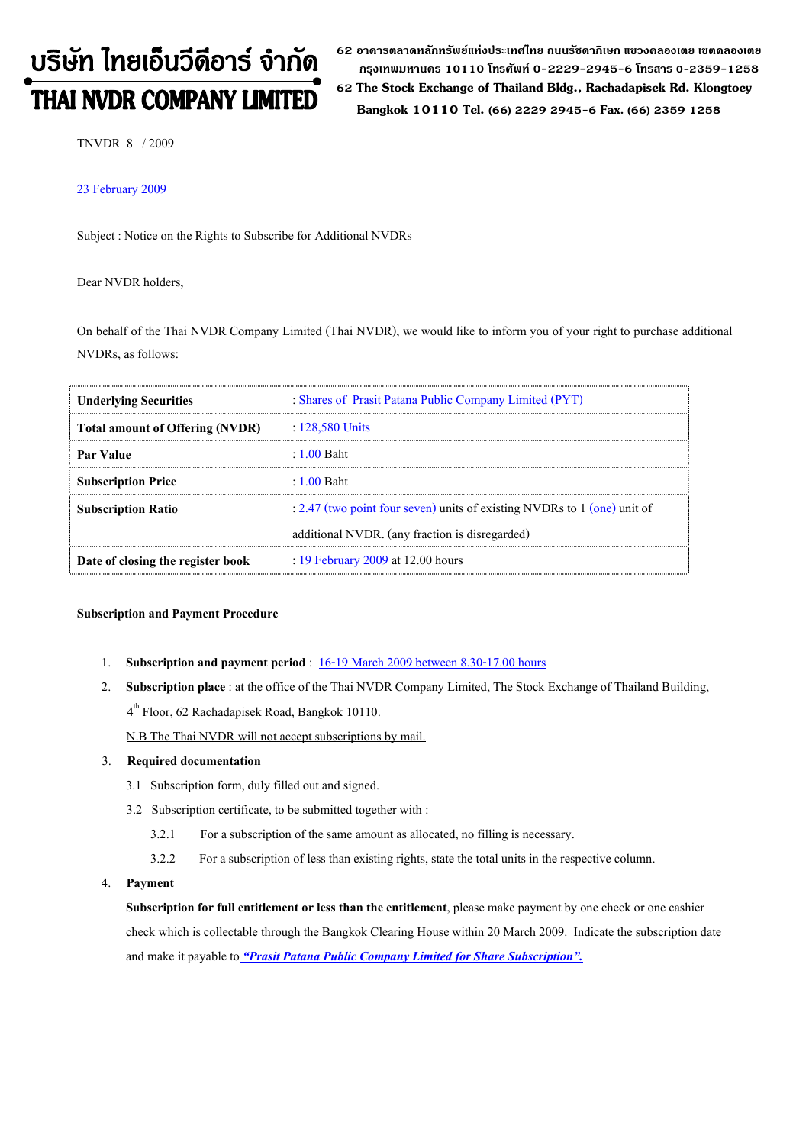# บริษัท ไทยเอ็นวีดีอาร์ จำกัด

62 อาดารตลาดหลักทรัพย์แห่งประเทศไทย ถนนรัซดาภิเษก แขวงดลองเตย เขตดลองเตย กรงเทพมหานดร 10110 โทรศัพท์ 0-2229-2945-6 โทรสาร 0-2359-1258 THAI NVDR COMPANY LIMITED 62 The Stock Exchange of Thailand Bldg., Rachadapisek Rd. Klongtoey Bangkok 10110 Tel. (66) 2229 2945-6 Fax. (66) 2359 1258

TNVDR 8 / 2009

#### 23 February 2009

Subject : Notice on the Rights to Subscribe for Additional NVDRs

Dear NVDR holders,

On behalf of the Thai NVDR Company Limited (Thai NVDR), we would like to inform you of your right to purchase additional NVDRs, as follows:

| <b>Underlying Securities</b>           | : Shares of Prasit Patana Public Company Limited (PYT)                     |  |
|----------------------------------------|----------------------------------------------------------------------------|--|
| <b>Total amount of Offering (NVDR)</b> | $\pm 128,580$ Units                                                        |  |
| <b>Par Value</b>                       | $\pm 1.00$ Baht                                                            |  |
| <b>Subscription Price</b>              | $\pm 1.00$ Baht                                                            |  |
| <b>Subscription Ratio</b>              | : 2.47 (two point four seven) units of existing NVDRs to $1$ (one) unit of |  |
|                                        | additional NVDR. (any fraction is disregarded)                             |  |
| Date of closing the register book      | : 19 February 2009 at 12.00 hours                                          |  |

#### Subscription and Payment Procedure

- 1. Subscription and payment period : 16-19 March 2009 between 8.30-17.00 hours
- 2. Subscription place : at the office of the Thai NVDR Company Limited, The Stock Exchange of Thailand Building, 4th Floor, 62 Rachadapisek Road, Bangkok 10110.

N.B The Thai NVDR will not accept subscriptions by mail.

#### 3. Required documentation

- 3.1 Subscription form, duly filled out and signed.
- 3.2 Subscription certificate, to be submitted together with :
	- 3.2.1 For a subscription of the same amount as allocated, no filling is necessary.
	- 3.2.2 For a subscription of less than existing rights, state the total units in the respective column.
- 4. Payment

Subscription for full entitlement or less than the entitlement, please make payment by one check or one cashier check which is collectable through the Bangkok Clearing House within 20 March 2009. Indicate the subscription date and make it payable to "Prasit Patana Public Company Limited for Share Subscription".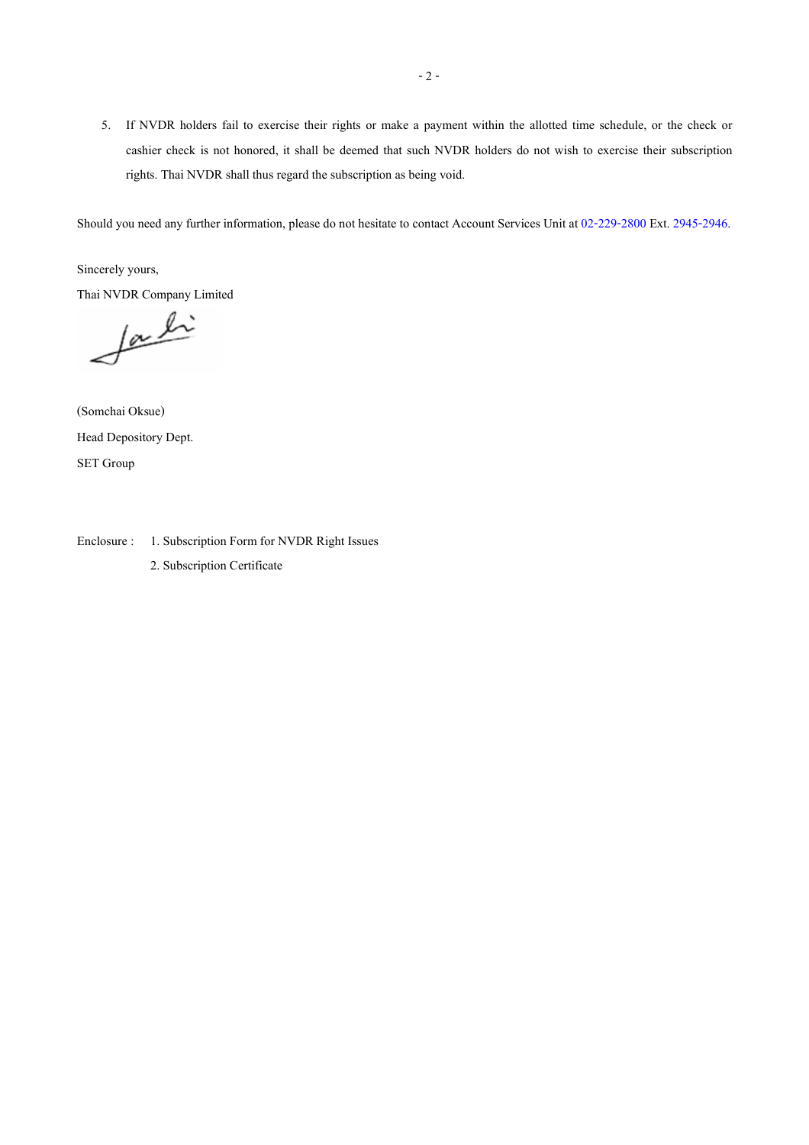5. If NVDR holders fail to exercise their rights or make a payment within the allotted time schedule, or the check or cashier check is not honored, it shall be deemed that such NVDR holders do not wish to exercise their subscription rights. Thai NVDR shall thus regard the subscription as being void.

Should you need any further information, please do not hesitate to contact Account Services Unit at 02-229-2800 Ext. 2945-2946.

Sincerely yours,

Thai NVDR Company Limited

facti

(Somchai Oksue) Head Depository Dept. SET Group

Enclosure : 1. Subscription Form for NVDR Right Issues 2. Subscription Certificate